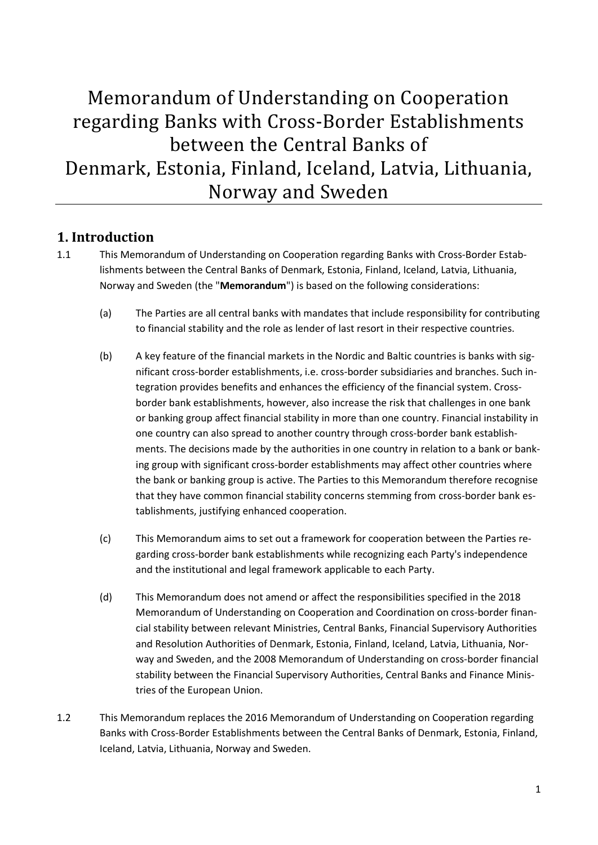# Memorandum of Understanding on Cooperation regarding Banks with Cross-Border Establishments between the Central Banks of Denmark, Estonia, Finland, Iceland, Latvia, Lithuania, Norway and Sweden

### **1. Introduction**

- 1.1 This Memorandum of Understanding on Cooperation regarding Banks with Cross-Border Establishments between the Central Banks of Denmark, Estonia, Finland, Iceland, Latvia, Lithuania, Norway and Sweden (the "**Memorandum**") is based on the following considerations:
	- (a) The Parties are all central banks with mandates that include responsibility for contributing to financial stability and the role as lender of last resort in their respective countries.
	- (b) A key feature of the financial markets in the Nordic and Baltic countries is banks with significant cross-border establishments, i.e. cross-border subsidiaries and branches. Such integration provides benefits and enhances the efficiency of the financial system. Crossborder bank establishments, however, also increase the risk that challenges in one bank or banking group affect financial stability in more than one country. Financial instability in one country can also spread to another country through cross-border bank establishments. The decisions made by the authorities in one country in relation to a bank or banking group with significant cross-border establishments may affect other countries where the bank or banking group is active. The Parties to this Memorandum therefore recognise that they have common financial stability concerns stemming from cross-border bank establishments, justifying enhanced cooperation.
	- (c) This Memorandum aims to set out a framework for cooperation between the Parties regarding cross-border bank establishments while recognizing each Party's independence and the institutional and legal framework applicable to each Party.
	- (d) This Memorandum does not amend or affect the responsibilities specified in the 2018 Memorandum of Understanding on Cooperation and Coordination on cross-border financial stability between relevant Ministries, Central Banks, Financial Supervisory Authorities and Resolution Authorities of Denmark, Estonia, Finland, Iceland, Latvia, Lithuania, Norway and Sweden, and the 2008 Memorandum of Understanding on cross-border financial stability between the Financial Supervisory Authorities, Central Banks and Finance Ministries of the European Union.
- 1.2 This Memorandum replaces the 2016 Memorandum of Understanding on Cooperation regarding Banks with Cross-Border Establishments between the Central Banks of Denmark, Estonia, Finland, Iceland, Latvia, Lithuania, Norway and Sweden.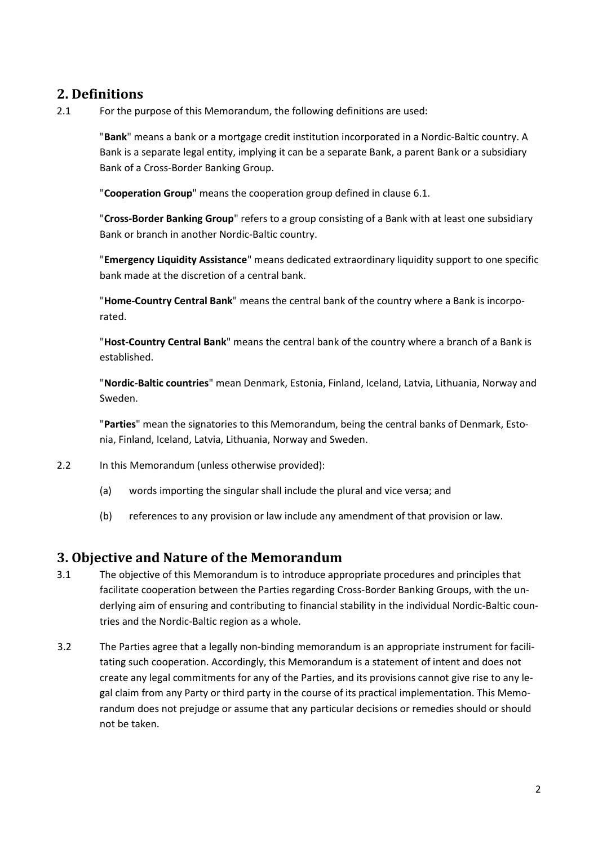# **2. Definitions**

2.1 For the purpose of this Memorandum, the following definitions are used:

"**Bank**" means a bank or a mortgage credit institution incorporated in a Nordic-Baltic country. A Bank is a separate legal entity, implying it can be a separate Bank, a parent Bank or a subsidiary Bank of a Cross-Border Banking Group.

"**Cooperation Group**" means the cooperation group defined in clause 6.1.

"**Cross-Border Banking Group**" refers to a group consisting of a Bank with at least one subsidiary Bank or branch in another Nordic-Baltic country.

"**Emergency Liquidity Assistance**" means dedicated extraordinary liquidity support to one specific bank made at the discretion of a central bank.

"**Home-Country Central Bank**" means the central bank of the country where a Bank is incorporated.

"**Host-Country Central Bank**" means the central bank of the country where a branch of a Bank is established.

"**Nordic-Baltic countries**" mean Denmark, Estonia, Finland, Iceland, Latvia, Lithuania, Norway and Sweden.

"**Parties**" mean the signatories to this Memorandum, being the central banks of Denmark, Estonia, Finland, Iceland, Latvia, Lithuania, Norway and Sweden.

- 2.2 In this Memorandum (unless otherwise provided):
	- (a) words importing the singular shall include the plural and vice versa; and
	- (b) references to any provision or law include any amendment of that provision or law.

#### **3. Objective and Nature of the Memorandum**

- 3.1 The objective of this Memorandum is to introduce appropriate procedures and principles that facilitate cooperation between the Parties regarding Cross-Border Banking Groups, with the underlying aim of ensuring and contributing to financial stability in the individual Nordic-Baltic countries and the Nordic-Baltic region as a whole.
- 3.2 The Parties agree that a legally non-binding memorandum is an appropriate instrument for facilitating such cooperation. Accordingly, this Memorandum is a statement of intent and does not create any legal commitments for any of the Parties, and its provisions cannot give rise to any legal claim from any Party or third party in the course of its practical implementation. This Memorandum does not prejudge or assume that any particular decisions or remedies should or should not be taken.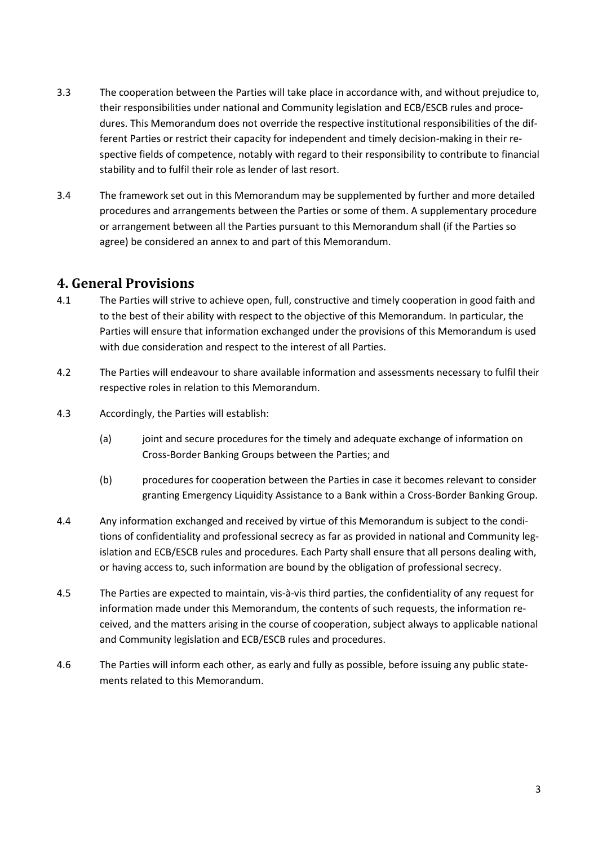- 3.3 The cooperation between the Parties will take place in accordance with, and without prejudice to, their responsibilities under national and Community legislation and ECB/ESCB rules and procedures. This Memorandum does not override the respective institutional responsibilities of the different Parties or restrict their capacity for independent and timely decision-making in their respective fields of competence, notably with regard to their responsibility to contribute to financial stability and to fulfil their role as lender of last resort.
- 3.4 The framework set out in this Memorandum may be supplemented by further and more detailed procedures and arrangements between the Parties or some of them. A supplementary procedure or arrangement between all the Parties pursuant to this Memorandum shall (if the Parties so agree) be considered an annex to and part of this Memorandum.

#### **4. General Provisions**

- 4.1 The Parties will strive to achieve open, full, constructive and timely cooperation in good faith and to the best of their ability with respect to the objective of this Memorandum. In particular, the Parties will ensure that information exchanged under the provisions of this Memorandum is used with due consideration and respect to the interest of all Parties.
- 4.2 The Parties will endeavour to share available information and assessments necessary to fulfil their respective roles in relation to this Memorandum.
- 4.3 Accordingly, the Parties will establish:
	- (a) joint and secure procedures for the timely and adequate exchange of information on Cross-Border Banking Groups between the Parties; and
	- (b) procedures for cooperation between the Parties in case it becomes relevant to consider granting Emergency Liquidity Assistance to a Bank within a Cross-Border Banking Group.
- 4.4 Any information exchanged and received by virtue of this Memorandum is subject to the conditions of confidentiality and professional secrecy as far as provided in national and Community legislation and ECB/ESCB rules and procedures. Each Party shall ensure that all persons dealing with, or having access to, such information are bound by the obligation of professional secrecy.
- 4.5 The Parties are expected to maintain, vis-à-vis third parties, the confidentiality of any request for information made under this Memorandum, the contents of such requests, the information received, and the matters arising in the course of cooperation, subject always to applicable national and Community legislation and ECB/ESCB rules and procedures.
- 4.6 The Parties will inform each other, as early and fully as possible, before issuing any public statements related to this Memorandum.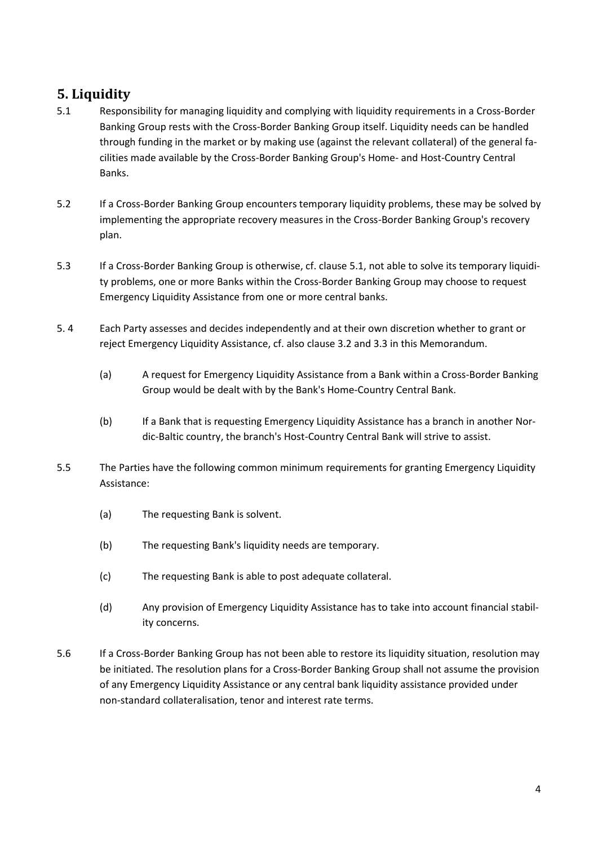# **5. Liquidity**

- 5.1 Responsibility for managing liquidity and complying with liquidity requirements in a Cross-Border Banking Group rests with the Cross-Border Banking Group itself. Liquidity needs can be handled through funding in the market or by making use (against the relevant collateral) of the general facilities made available by the Cross-Border Banking Group's Home- and Host-Country Central Banks.
- 5.2 If a Cross-Border Banking Group encounters temporary liquidity problems, these may be solved by implementing the appropriate recovery measures in the Cross-Border Banking Group's recovery plan.
- 5.3 If a Cross-Border Banking Group is otherwise, cf. clause 5.1, not able to solve its temporary liquidity problems, one or more Banks within the Cross-Border Banking Group may choose to request Emergency Liquidity Assistance from one or more central banks.
- 5. 4 Each Party assesses and decides independently and at their own discretion whether to grant or reject Emergency Liquidity Assistance, cf. also clause 3.2 and 3.3 in this Memorandum.
	- (a) A request for Emergency Liquidity Assistance from a Bank within a Cross-Border Banking Group would be dealt with by the Bank's Home-Country Central Bank.
	- (b) If a Bank that is requesting Emergency Liquidity Assistance has a branch in another Nordic-Baltic country, the branch's Host-Country Central Bank will strive to assist.
- 5.5 The Parties have the following common minimum requirements for granting Emergency Liquidity Assistance:
	- (a) The requesting Bank is solvent.
	- (b) The requesting Bank's liquidity needs are temporary.
	- (c) The requesting Bank is able to post adequate collateral.
	- (d) Any provision of Emergency Liquidity Assistance has to take into account financial stability concerns.
- 5.6 If a Cross-Border Banking Group has not been able to restore its liquidity situation, resolution may be initiated. The resolution plans for a Cross-Border Banking Group shall not assume the provision of any Emergency Liquidity Assistance or any central bank liquidity assistance provided under non-standard collateralisation, tenor and interest rate terms.